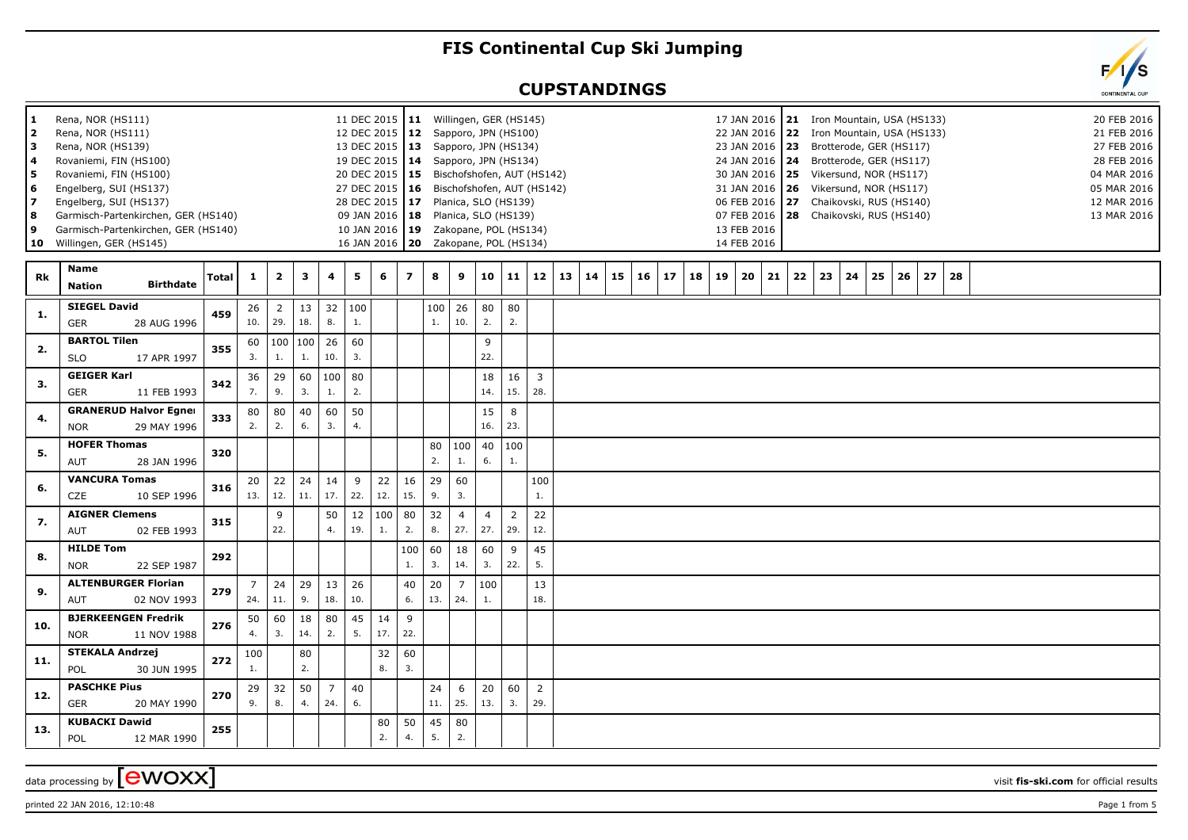## **FIS Continental Cup Ski Jumping**

## **CUPSTANDINGS**

| 1<br>2<br>з<br>4<br>5<br>6<br>7<br>8<br>9<br>10 | Rena, NOR (HS111)<br>Rena, NOR (HS111)<br>Rena, NOR (HS139)<br>Rovaniemi, FIN (HS100)<br>Rovaniemi, FIN (HS100)<br>Engelberg, SUI (HS137)<br>Engelberg, SUI (HS137)<br>Garmisch-Partenkirchen, GER (HS140)<br>Garmisch-Partenkirchen, GER (HS140)<br>Willingen, GER (HS145) |              |                       |                         |           |                       | 11 DEC 2015   11 Willingen, GER (HS145)<br>12 DEC 2015   12 Sapporo, JPN (HS100)<br>13 DEC 2015   13 Sapporo, JPN (HS134)<br>19 DEC 2015   14 Sapporo, JPN (HS134)<br>20 DEC 2015<br>27 DEC 2015   16<br>28 DEC 2015   17 Planica, SLO (HS139)<br>09 JAN 2016   18<br>10 JAN 2016 19<br>16 JAN 2016   20  Zakopane, POL (HS134) |           |                |           | 15 Bischofshofen, AUT (HS142)<br>Bischofshofen, AUT (HS142)<br>Planica, SLO (HS139)<br>Zakopane, POL (HS134) |                       |                       |                       |    |    |    |    |    |    |    | 23 JAN 2016   23<br>13 FEB 2016<br>14 FEB 2016 |    |    |    |    |    | 17 JAN 2016   21 Iron Mountain, USA (HS133)<br>22 JAN 2016 22 Iron Mountain, USA (HS133)<br>Brotterode, GER (HS117)<br>24 JAN 2016   24 Brotterode, GER (HS117)<br>30 JAN 2016   25 Vikersund, NOR (HS117)<br>31 JAN 2016   26 Vikersund, NOR (HS117)<br>06 FEB 2016 27 Chaikovski, RUS (HS140)<br>07 FEB 2016 28 Chaikovski, RUS (HS140) |    |    |  |  | 20 FEB 2016<br>21 FEB 2016<br>27 FEB 2016<br>28 FEB 2016<br>04 MAR 2016<br>05 MAR 2016<br>12 MAR 2016<br>13 MAR 2016 |  |
|-------------------------------------------------|-----------------------------------------------------------------------------------------------------------------------------------------------------------------------------------------------------------------------------------------------------------------------------|--------------|-----------------------|-------------------------|-----------|-----------------------|---------------------------------------------------------------------------------------------------------------------------------------------------------------------------------------------------------------------------------------------------------------------------------------------------------------------------------|-----------|----------------|-----------|--------------------------------------------------------------------------------------------------------------|-----------------------|-----------------------|-----------------------|----|----|----|----|----|----|----|------------------------------------------------|----|----|----|----|----|-------------------------------------------------------------------------------------------------------------------------------------------------------------------------------------------------------------------------------------------------------------------------------------------------------------------------------------------|----|----|--|--|----------------------------------------------------------------------------------------------------------------------|--|
| Rk                                              | <b>Name</b><br><b>Birthdate</b><br><b>Nation</b>                                                                                                                                                                                                                            | <b>Total</b> | 1                     | $\overline{\mathbf{2}}$ | 3         | 4                     | 5                                                                                                                                                                                                                                                                                                                               | 6         | $\overline{ }$ | 8         | 9                                                                                                            | 10                    | 11                    | 12                    | 13 | 14 | 15 | 16 | 17 | 18 | 19 | 20                                             | 21 | 22 | 23 | 24 | 25 | 26                                                                                                                                                                                                                                                                                                                                        | 27 | 28 |  |  |                                                                                                                      |  |
| 1.                                              | <b>SIEGEL David</b><br>28 AUG 1996<br><b>GER</b>                                                                                                                                                                                                                            | 459          | 26<br>10.             | $\overline{2}$<br>29.   | 13<br>18. | 32<br>8.              | 100<br>$1.$                                                                                                                                                                                                                                                                                                                     |           |                | 100<br>1. | 26<br>10.                                                                                                    | 80<br>2.              | 80<br>2.              |                       |    |    |    |    |    |    |    |                                                |    |    |    |    |    |                                                                                                                                                                                                                                                                                                                                           |    |    |  |  |                                                                                                                      |  |
| 2.                                              | <b>BARTOL Tilen</b><br><b>SLO</b><br>17 APR 1997                                                                                                                                                                                                                            | 355          | 60<br>3.              | 100<br>1.               | 100<br>1. | 26<br>10.             | 60<br>3.                                                                                                                                                                                                                                                                                                                        |           |                |           |                                                                                                              | 9<br>22.              |                       |                       |    |    |    |    |    |    |    |                                                |    |    |    |    |    |                                                                                                                                                                                                                                                                                                                                           |    |    |  |  |                                                                                                                      |  |
| 3.                                              | <b>GEIGER Karl</b><br><b>GER</b><br>11 FEB 1993                                                                                                                                                                                                                             | 342          | 36<br>7.              | 29<br>9.                | 60<br>3.  | 100<br>1.             | 80<br>2.                                                                                                                                                                                                                                                                                                                        |           |                |           |                                                                                                              | 18<br>14.             | 16<br>15.             | 3<br>28.              |    |    |    |    |    |    |    |                                                |    |    |    |    |    |                                                                                                                                                                                                                                                                                                                                           |    |    |  |  |                                                                                                                      |  |
| 4.                                              | <b>GRANERUD Halvor Egner</b><br>29 MAY 1996<br><b>NOR</b>                                                                                                                                                                                                                   | 333          | 80<br>2.              | 80<br>2.                | 40<br>6.  | 60<br>3.              | 50<br>4.                                                                                                                                                                                                                                                                                                                        |           |                |           |                                                                                                              | 15<br>16.             | 8<br>23.              |                       |    |    |    |    |    |    |    |                                                |    |    |    |    |    |                                                                                                                                                                                                                                                                                                                                           |    |    |  |  |                                                                                                                      |  |
| 5.                                              | <b>HOFER Thomas</b><br>AUT<br>28 JAN 1996                                                                                                                                                                                                                                   | 320          |                       |                         |           |                       |                                                                                                                                                                                                                                                                                                                                 |           |                | 80<br>2.  | 100<br>1.                                                                                                    | 40<br>6.              | 100<br>1.             |                       |    |    |    |    |    |    |    |                                                |    |    |    |    |    |                                                                                                                                                                                                                                                                                                                                           |    |    |  |  |                                                                                                                      |  |
| 6.                                              | <b>VANCURA Tomas</b><br><b>CZE</b><br>10 SEP 1996                                                                                                                                                                                                                           | 316          | 20<br>13.             | 22<br>12.               | 24<br>11. | 14<br>17.             | 9<br>22.                                                                                                                                                                                                                                                                                                                        | 22<br>12. | 16<br>15.      | 29<br>9.  | 60<br>3.                                                                                                     |                       |                       | 100<br>1.             |    |    |    |    |    |    |    |                                                |    |    |    |    |    |                                                                                                                                                                                                                                                                                                                                           |    |    |  |  |                                                                                                                      |  |
| 7.                                              | <b>AIGNER Clemens</b><br>02 FEB 1993<br>AUT                                                                                                                                                                                                                                 | 315          |                       | 9<br>22.                |           | 50<br>4.              | 12<br>19.                                                                                                                                                                                                                                                                                                                       | 100<br>1. | 80<br>2.       | 32<br>8.  | $\overline{4}$<br>27.                                                                                        | $\overline{4}$<br>27. | $\overline{2}$<br>29. | 22<br>12.             |    |    |    |    |    |    |    |                                                |    |    |    |    |    |                                                                                                                                                                                                                                                                                                                                           |    |    |  |  |                                                                                                                      |  |
| 8.                                              | <b>HILDE Tom</b><br><b>NOR</b><br>22 SEP 1987                                                                                                                                                                                                                               | 292          |                       |                         |           |                       |                                                                                                                                                                                                                                                                                                                                 |           | 100<br>1.      | 60<br>3.  | 18<br>14.                                                                                                    | 60<br>3.              | 9<br>22.              | 45<br>5.              |    |    |    |    |    |    |    |                                                |    |    |    |    |    |                                                                                                                                                                                                                                                                                                                                           |    |    |  |  |                                                                                                                      |  |
| 9.                                              | <b>ALTENBURGER Florian</b><br>02 NOV 1993<br>AUT                                                                                                                                                                                                                            | 279          | $\overline{7}$<br>24. | 24<br>11.               | 29<br>9.  | 13<br>18.             | 26<br>10.                                                                                                                                                                                                                                                                                                                       |           | 40<br>6.       | 20<br>13. | $\overline{7}$<br>24.                                                                                        | 100<br>1.             |                       | 13<br>18.             |    |    |    |    |    |    |    |                                                |    |    |    |    |    |                                                                                                                                                                                                                                                                                                                                           |    |    |  |  |                                                                                                                      |  |
| 10.                                             | <b>BJERKEENGEN Fredrik</b><br><b>NOR</b><br>11 NOV 1988                                                                                                                                                                                                                     | 276          | 50<br>4.              | 60<br>3.                | 18<br>14. | 80<br>2.              | 45<br>5.                                                                                                                                                                                                                                                                                                                        | 14<br>17. | 9<br>22.       |           |                                                                                                              |                       |                       |                       |    |    |    |    |    |    |    |                                                |    |    |    |    |    |                                                                                                                                                                                                                                                                                                                                           |    |    |  |  |                                                                                                                      |  |
| 11.                                             | <b>STEKALA Andrzej</b><br><b>POL</b><br>30 JUN 1995                                                                                                                                                                                                                         | 272          | 100<br>1.             |                         | 80<br>2.  |                       |                                                                                                                                                                                                                                                                                                                                 | 32<br>8.  | 60<br>3.       |           |                                                                                                              |                       |                       |                       |    |    |    |    |    |    |    |                                                |    |    |    |    |    |                                                                                                                                                                                                                                                                                                                                           |    |    |  |  |                                                                                                                      |  |
| 12.                                             | <b>PASCHKE Pius</b><br><b>GER</b><br>20 MAY 1990                                                                                                                                                                                                                            | 270          | 29<br>9.              | 32<br>8.                | 50<br>4.  | $\overline{7}$<br>24. | 40<br>6.                                                                                                                                                                                                                                                                                                                        |           |                | 24<br>11. | 6<br>25.                                                                                                     | 20<br>13.             | 60<br>3.              | $\overline{2}$<br>29. |    |    |    |    |    |    |    |                                                |    |    |    |    |    |                                                                                                                                                                                                                                                                                                                                           |    |    |  |  |                                                                                                                      |  |
| 13.                                             | <b>KUBACKI Dawid</b><br><b>POL</b><br>12 MAR 1990                                                                                                                                                                                                                           | 255          |                       |                         |           |                       |                                                                                                                                                                                                                                                                                                                                 | 80<br>2.  | 50<br>4.       | 45<br>5.  | 80<br>2.                                                                                                     |                       |                       |                       |    |    |    |    |    |    |    |                                                |    |    |    |    |    |                                                                                                                                                                                                                                                                                                                                           |    |    |  |  |                                                                                                                      |  |

data processing by **CWOXX** wisit **fis-ski.com** for official results

printed 22 JAN 2016, 12:10:48 Page 1 from 5

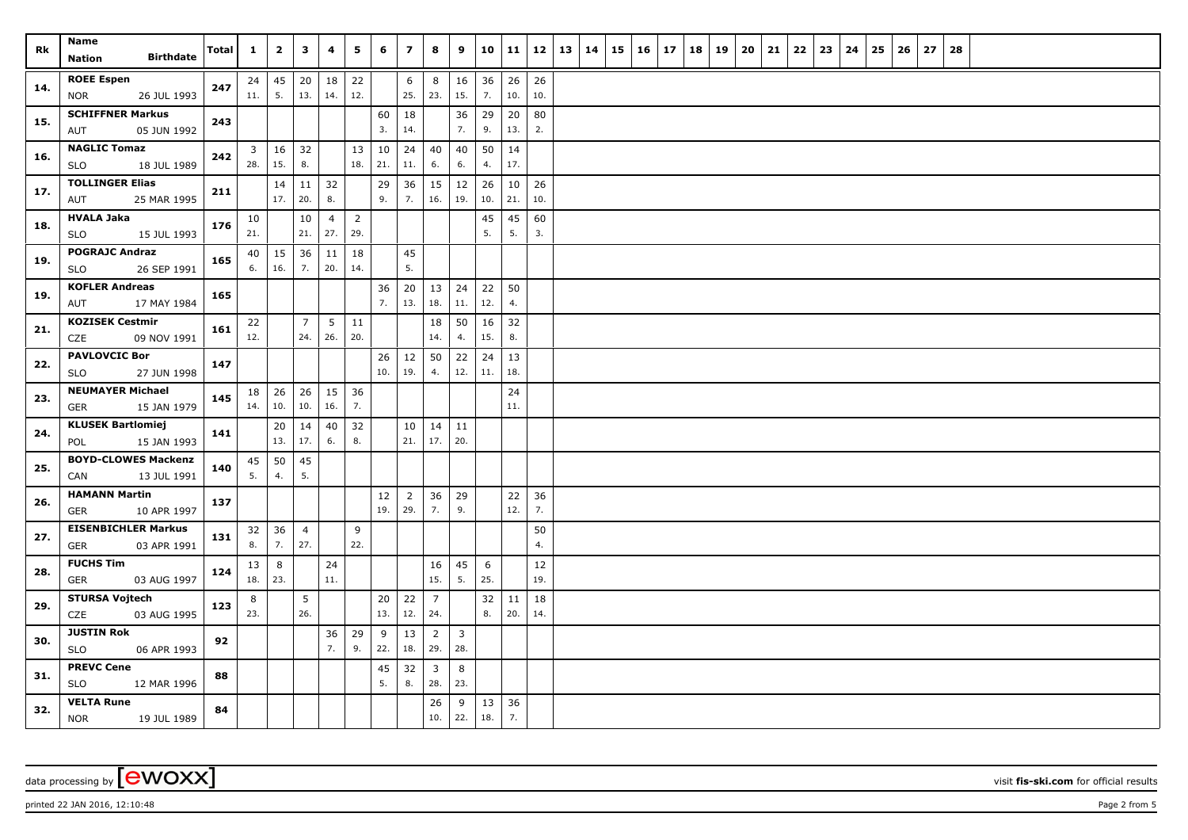| Rk  | Name<br><b>Birthdate</b><br>Nation                 | <b>Total</b> | $\mathbf{1}$          | $\overline{\mathbf{2}}$ | $\mathbf{3}$          | 4         | 5                     | 6         | $\overline{z}$        | 8                     | 9                     | 10                     | 11        | 12        | 13 | 14 | 15 | $16 \mid 17$ | 18 | 19 | 20 | 21 | 22 | 23 | 24 | 25 | 26 | 27 | 28 |  |  |  |
|-----|----------------------------------------------------|--------------|-----------------------|-------------------------|-----------------------|-----------|-----------------------|-----------|-----------------------|-----------------------|-----------------------|------------------------|-----------|-----------|----|----|----|--------------|----|----|----|----|----|----|----|----|----|----|----|--|--|--|
| 14. | <b>ROEE Espen</b><br><b>NOR</b><br>26 JUL 1993     | 247          | 24<br>11.             | 45<br>5.                | 20<br>13.             | 18<br>14. | 22<br>12.             |           | 6<br>25.              | 8<br>23.              | 16<br>15.             | 36<br>$\overline{7}$ . | 26<br>10. | 26<br>10. |    |    |    |              |    |    |    |    |    |    |    |    |    |    |    |  |  |  |
| 15. | <b>SCHIFFNER Markus</b><br>05 JUN 1992<br>AUT      | 243          |                       |                         |                       |           |                       | 60<br>3.  | 18<br>14.             |                       | 36<br>7.              | 29<br>9.               | 20<br>13. | 80<br>2.  |    |    |    |              |    |    |    |    |    |    |    |    |    |    |    |  |  |  |
| 16. | <b>NAGLIC Tomaz</b><br><b>SLO</b><br>18 JUL 1989   | 242          | 3 <sup>1</sup><br>28. | 16<br>15.               | 32<br>8.              |           | 13<br>18.             | 10<br>21. | 24<br>$11. \,$        | 40<br>6.              | 40<br>6.              | 50<br>4.               | 14<br>17. |           |    |    |    |              |    |    |    |    |    |    |    |    |    |    |    |  |  |  |
| 17. | <b>TOLLINGER Elias</b><br>AUT<br>25 MAR 1995       | 211          |                       | 14<br>17.               | 11<br>20.             | 32<br>8.  |                       | 29<br>9.  | 36<br>7.              | 15<br>16.             | 12<br>19.             | 26<br>10.              | 10<br>21. | 26<br>10. |    |    |    |              |    |    |    |    |    |    |    |    |    |    |    |  |  |  |
| 18. | <b>HVALA Jaka</b><br>15 JUL 1993<br><b>SLO</b>     | 176          | 10<br>21.             |                         | 10<br>21.             | 4<br>27.  | $\overline{2}$<br>29. |           |                       |                       |                       | 45<br>5.               | 45<br>5.  | 60<br>3.  |    |    |    |              |    |    |    |    |    |    |    |    |    |    |    |  |  |  |
| 19. | <b>POGRAJC Andraz</b><br>26 SEP 1991<br><b>SLO</b> | 165          | 40<br>6.              | 15<br>16.               | 36<br>7.              | 11<br>20. | 18<br>14.             |           | 45<br>5.              |                       |                       |                        |           |           |    |    |    |              |    |    |    |    |    |    |    |    |    |    |    |  |  |  |
| 19. | <b>KOFLER Andreas</b><br>17 MAY 1984<br>AUT        | 165          |                       |                         |                       |           |                       | 36<br>7.  | 20<br>13.             | 13<br>18.             | 24<br>$11.$           | 22<br>12.              | 50<br>4.  |           |    |    |    |              |    |    |    |    |    |    |    |    |    |    |    |  |  |  |
| 21. | <b>KOZISEK Cestmir</b><br>CZE<br>09 NOV 1991       | 161          | 22<br>12.             |                         | $\overline{7}$<br>24. | 5<br>26.  | 11<br>20.             |           |                       | 18<br>14.             | 50<br>4.              | 16<br>15.              | 32<br>8.  |           |    |    |    |              |    |    |    |    |    |    |    |    |    |    |    |  |  |  |
| 22. | <b>PAVLOVCIC Bor</b><br>27 JUN 1998<br><b>SLO</b>  | 147          |                       |                         |                       |           |                       | 26<br>10. | 12<br>19.             | 50<br>4.              | 22<br>12.             | 24<br>11.              | 13<br>18. |           |    |    |    |              |    |    |    |    |    |    |    |    |    |    |    |  |  |  |
| 23. | <b>NEUMAYER Michael</b><br>15 JAN 1979<br>GER      | 145          | 18<br>14.             | 26<br>10.               | 26<br>10.             | 15<br>16. | 36<br>7.              |           |                       |                       |                       |                        | 24<br>11. |           |    |    |    |              |    |    |    |    |    |    |    |    |    |    |    |  |  |  |
| 24. | <b>KLUSEK Bartlomiej</b><br>POL<br>15 JAN 1993     | 141          |                       | $20\,$<br>13.           | 14<br>17.             | 40<br>6.  | 32<br>8.              |           | 10<br>21.             | 14<br>17.             | 11<br>20.             |                        |           |           |    |    |    |              |    |    |    |    |    |    |    |    |    |    |    |  |  |  |
| 25. | <b>BOYD-CLOWES Mackenzi</b><br>CAN<br>13 JUL 1991  | 140          | 45<br>5.              | 50<br>4.                | 45<br>5.              |           |                       |           |                       |                       |                       |                        |           |           |    |    |    |              |    |    |    |    |    |    |    |    |    |    |    |  |  |  |
| 26. | <b>HAMANN Martin</b><br>10 APR 1997<br>GER         | 137          |                       |                         |                       |           |                       | 12<br>19. | $\overline{2}$<br>29. | 36<br>7.              | 29<br>9.              |                        | 22<br>12. | 36<br>7.  |    |    |    |              |    |    |    |    |    |    |    |    |    |    |    |  |  |  |
| 27. | <b>EISENBICHLER Markus</b><br>03 APR 1991<br>GER   | 131          | 32<br>8.              | 36<br>7.                | $\overline{4}$<br>27. |           | 9<br>22.              |           |                       |                       |                       |                        |           | 50<br>4.  |    |    |    |              |    |    |    |    |    |    |    |    |    |    |    |  |  |  |
| 28. | <b>FUCHS Tim</b><br><b>GER</b><br>03 AUG 1997      | 124          | 13<br>18.             | 8<br>23.                |                       | 24<br>11. |                       |           |                       | 16<br>15.             | 45<br>5.              | 6<br>25.               |           | 12<br>19. |    |    |    |              |    |    |    |    |    |    |    |    |    |    |    |  |  |  |
| 29. | <b>STURSA Vojtech</b><br><b>CZE</b><br>03 AUG 1995 | 123          | 8<br>23.              |                         | 5<br>26.              |           |                       | 20<br>13. | 22<br>12.             | $\overline{7}$<br>24. |                       | 32<br>8.               | 11<br>20. | 18<br>14. |    |    |    |              |    |    |    |    |    |    |    |    |    |    |    |  |  |  |
| 30. | <b>JUSTIN Rok</b><br>06 APR 1993<br>SLO            | 92           |                       |                         |                       | 36<br>7.  | 29<br>9.              | 9<br>22.  | 13<br>18.             | $\overline{2}$<br>29. | $\overline{3}$<br>28. |                        |           |           |    |    |    |              |    |    |    |    |    |    |    |    |    |    |    |  |  |  |
| 31. | <b>PREVC Cene</b><br>SLO<br>12 MAR 1996            | 88           |                       |                         |                       |           |                       | 45<br>5.  | 32<br>8.              | $\overline{3}$<br>28. | 8<br>23.              |                        |           |           |    |    |    |              |    |    |    |    |    |    |    |    |    |    |    |  |  |  |
| 32. | <b>VELTA Rune</b><br><b>NOR</b><br>19 JUL 1989     | 84           |                       |                         |                       |           |                       |           |                       | 26<br>10.             | 9<br>22.              | 13<br>18.              | 36<br>7.  |           |    |    |    |              |    |    |    |    |    |    |    |    |    |    |    |  |  |  |

data processing by **CWOXX** visit **fis-ski.com** for official results

printed 22 JAN 2016, 12:10:48 Page 2 from 5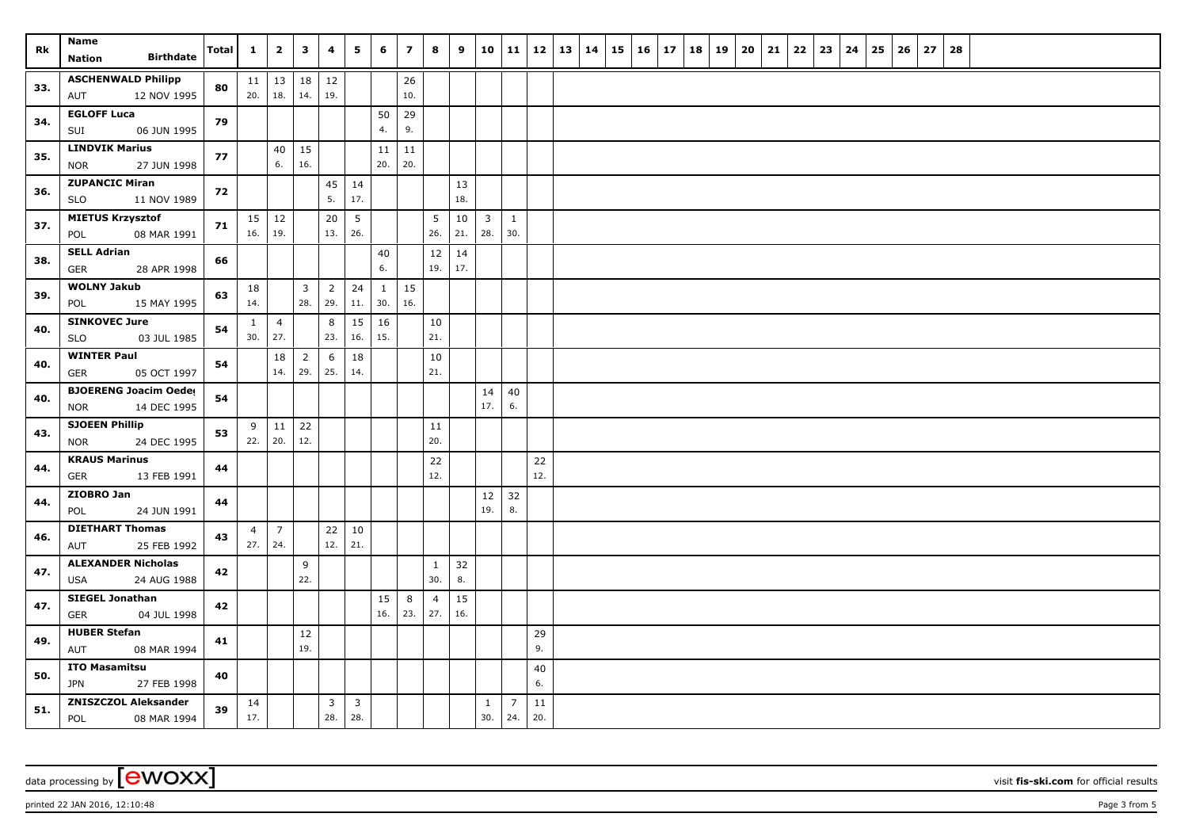| Rk  | Name<br><b>Birthdate</b><br>Nation                 | Total | $\mathbf{1}$   | $\overline{\mathbf{2}}$ | 3                     | 4                     | 5                     | 6         | $\overline{\mathbf{z}}$ | 8                             | 9         |                         | 10 11                 | 12        | 13 | 14 | 15 | $16 \mid 17$ | 18 | 19 | 20 | 21 | 22 | 23 | 24 | 25 | 26 | 27 | 28 |  |  |  |
|-----|----------------------------------------------------|-------|----------------|-------------------------|-----------------------|-----------------------|-----------------------|-----------|-------------------------|-------------------------------|-----------|-------------------------|-----------------------|-----------|----|----|----|--------------|----|----|----|----|----|----|----|----|----|----|----|--|--|--|
|     | <b>ASCHENWALD Philipp</b>                          |       |                | $11 \mid 13$            | 18                    | 12                    |                       |           | 26                      |                               |           |                         |                       |           |    |    |    |              |    |    |    |    |    |    |    |    |    |    |    |  |  |  |
| 33. | AUT<br>12 NOV 1995                                 | 80    | 20.            | 18.                     | 14.                   | 19.                   |                       |           | 10.                     |                               |           |                         |                       |           |    |    |    |              |    |    |    |    |    |    |    |    |    |    |    |  |  |  |
| 34. | <b>EGLOFF Luca</b>                                 | 79    |                |                         |                       |                       |                       | 50        | 29                      |                               |           |                         |                       |           |    |    |    |              |    |    |    |    |    |    |    |    |    |    |    |  |  |  |
|     | SUI<br>06 JUN 1995                                 |       |                |                         |                       |                       |                       | 4.        | 9.                      |                               |           |                         |                       |           |    |    |    |              |    |    |    |    |    |    |    |    |    |    |    |  |  |  |
| 35. | <b>LINDVIK Marius</b>                              | 77    |                | 40                      | 15                    |                       |                       | 11        | 11                      |                               |           |                         |                       |           |    |    |    |              |    |    |    |    |    |    |    |    |    |    |    |  |  |  |
|     | <b>NOR</b><br>27 JUN 1998<br><b>ZUPANCIC Miran</b> |       |                | 6.                      | 16.                   |                       |                       | 20.       | 20.                     |                               |           |                         |                       |           |    |    |    |              |    |    |    |    |    |    |    |    |    |    |    |  |  |  |
| 36. | <b>SLO</b><br>11 NOV 1989                          | 72    |                |                         |                       | 45<br>5.              | 14<br>17.             |           |                         |                               | 13<br>18. |                         |                       |           |    |    |    |              |    |    |    |    |    |    |    |    |    |    |    |  |  |  |
| 37. | <b>MIETUS Krzysztof</b>                            | 71    | 15             | 12                      |                       | 20                    | 5                     |           |                         | $5\phantom{.0}$               | 10        | $\overline{\mathbf{3}}$ | $\mathbf{1}$          |           |    |    |    |              |    |    |    |    |    |    |    |    |    |    |    |  |  |  |
|     | 08 MAR 1991<br>POL                                 |       | 16.            | 19.                     |                       | 13.                   | 26.                   |           |                         | 26.                           | 21.       | 28.                     | 30.                   |           |    |    |    |              |    |    |    |    |    |    |    |    |    |    |    |  |  |  |
| 38. | <b>SELL Adrian</b><br>28 APR 1998<br>GER           | 66    |                |                         |                       |                       |                       | 40<br>6.  |                         | 12<br>19.                     | 14<br>17. |                         |                       |           |    |    |    |              |    |    |    |    |    |    |    |    |    |    |    |  |  |  |
| 39. | <b>WOLNY Jakub</b>                                 | 63    | 18             |                         | $\overline{3}$        | $\overline{2}$        | 24                    | 1         | 15                      |                               |           |                         |                       |           |    |    |    |              |    |    |    |    |    |    |    |    |    |    |    |  |  |  |
|     | 15 MAY 1995<br>POL                                 |       | 14.            |                         | 28.                   | 29.                   | 11.                   | 30.       | 16.                     |                               |           |                         |                       |           |    |    |    |              |    |    |    |    |    |    |    |    |    |    |    |  |  |  |
| 40. | <b>SINKOVEC Jure</b>                               | 54    | $\mathbf{1}$   | $\overline{4}$          |                       | 8                     | 15                    | 16        |                         | 10                            |           |                         |                       |           |    |    |    |              |    |    |    |    |    |    |    |    |    |    |    |  |  |  |
|     | <b>SLO</b><br>03 JUL 1985                          |       | 30.            | 27.                     |                       | 23.                   | 16.                   | 15.       |                         | 21.                           |           |                         |                       |           |    |    |    |              |    |    |    |    |    |    |    |    |    |    |    |  |  |  |
| 40. | <b>WINTER Paul</b><br>05 OCT 1997                  | 54    |                | 18<br>14.               | $\overline{2}$<br>29. | 6<br>25.              | 18<br>14.             |           |                         | 10<br>21.                     |           |                         |                       |           |    |    |    |              |    |    |    |    |    |    |    |    |    |    |    |  |  |  |
|     | GER<br><b>BJOERENG Joacim Oeder</b>                |       |                |                         |                       |                       |                       |           |                         |                               |           | 14                      | 40                    |           |    |    |    |              |    |    |    |    |    |    |    |    |    |    |    |  |  |  |
| 40. | 14 DEC 1995<br><b>NOR</b>                          | 54    |                |                         |                       |                       |                       |           |                         |                               |           | 17.                     | 6.                    |           |    |    |    |              |    |    |    |    |    |    |    |    |    |    |    |  |  |  |
| 43. | <b>SJOEEN Phillip</b>                              | 53    | 9              | 11                      | 22                    |                       |                       |           |                         | 11                            |           |                         |                       |           |    |    |    |              |    |    |    |    |    |    |    |    |    |    |    |  |  |  |
|     | 24 DEC 1995<br>NOR                                 |       | 22.            | 20.                     | 12.                   |                       |                       |           |                         | 20.                           |           |                         |                       |           |    |    |    |              |    |    |    |    |    |    |    |    |    |    |    |  |  |  |
| 44. | <b>KRAUS Marinus</b>                               | 44    |                |                         |                       |                       |                       |           |                         | 22<br>12.                     |           |                         |                       | 22<br>12. |    |    |    |              |    |    |    |    |    |    |    |    |    |    |    |  |  |  |
|     | GER<br>13 FEB 1991<br>ZIOBRO Jan                   |       |                |                         |                       |                       |                       |           |                         |                               |           |                         |                       |           |    |    |    |              |    |    |    |    |    |    |    |    |    |    |    |  |  |  |
| 44. | 24 JUN 1991<br>POL                                 | 44    |                |                         |                       |                       |                       |           |                         |                               |           | 12<br>19.               | 32<br>8.              |           |    |    |    |              |    |    |    |    |    |    |    |    |    |    |    |  |  |  |
| 46. | <b>DIETHART Thomas</b>                             | 43    | $\overline{4}$ | $\overline{7}$          |                       | 22                    | 10                    |           |                         |                               |           |                         |                       |           |    |    |    |              |    |    |    |    |    |    |    |    |    |    |    |  |  |  |
|     | 25 FEB 1992<br>AUT                                 |       | 27.            | 24.                     |                       | 12.                   | 21.                   |           |                         |                               |           |                         |                       |           |    |    |    |              |    |    |    |    |    |    |    |    |    |    |    |  |  |  |
| 47. | <b>ALEXANDER Nicholas</b>                          | 42    |                |                         | 9                     |                       |                       |           |                         | 1                             | 32        |                         |                       |           |    |    |    |              |    |    |    |    |    |    |    |    |    |    |    |  |  |  |
|     | USA<br>24 AUG 1988                                 |       |                |                         | 22.                   |                       |                       |           |                         | 30.                           | 8.        |                         |                       |           |    |    |    |              |    |    |    |    |    |    |    |    |    |    |    |  |  |  |
| 47. | <b>SIEGEL Jonathan</b><br>04 JUL 1998<br>GER       | 42    |                |                         |                       |                       |                       | 15<br>16. | 8<br>23.                | $\overline{4}$<br>$\vert$ 27. | 15<br>16. |                         |                       |           |    |    |    |              |    |    |    |    |    |    |    |    |    |    |    |  |  |  |
|     | <b>HUBER Stefan</b>                                |       |                |                         | $12$                  |                       |                       |           |                         |                               |           |                         |                       | 29        |    |    |    |              |    |    |    |    |    |    |    |    |    |    |    |  |  |  |
| 49. | AUT<br>08 MAR 1994                                 | 41    |                |                         | 19.                   |                       |                       |           |                         |                               |           |                         |                       | 9.        |    |    |    |              |    |    |    |    |    |    |    |    |    |    |    |  |  |  |
| 50. | <b>ITO Masamitsu</b>                               | 40    |                |                         |                       |                       |                       |           |                         |                               |           |                         |                       | 40        |    |    |    |              |    |    |    |    |    |    |    |    |    |    |    |  |  |  |
|     | <b>JPN</b><br>27 FEB 1998                          |       |                |                         |                       |                       |                       |           |                         |                               |           |                         |                       | 6.        |    |    |    |              |    |    |    |    |    |    |    |    |    |    |    |  |  |  |
| 51. | <b>ZNISZCZOL Aleksander</b><br>POL<br>08 MAR 1994  | 39    | 14<br>17.      |                         |                       | $\overline{3}$<br>28. | $\overline{3}$<br>28. |           |                         |                               |           | $\mathbf{1}$<br>30.     | $\overline{7}$<br>24. | 11<br>20. |    |    |    |              |    |    |    |    |    |    |    |    |    |    |    |  |  |  |

data processing by **CWOXX** visit **fis-ski.com** for official results

printed 22 JAN 2016, 12:10:48 **Page 3** from 5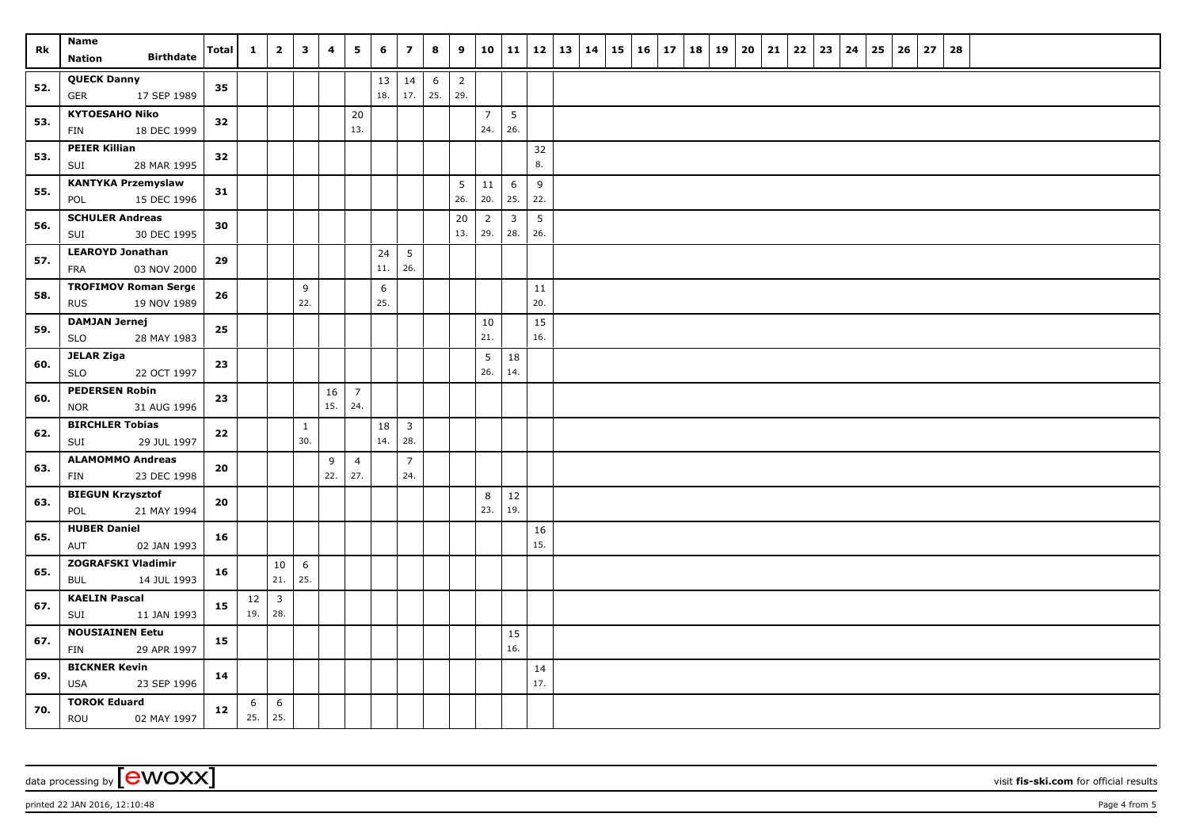| Rk  | Name<br><b>Birthdate</b><br><b>Nation</b>                | Total | $\mathbf{1}$ | $\overline{2}$        | $\mathbf{3}$        | 4         | 5                     | 6             | $\overline{\phantom{a}}$       | 8                      | 9                     | 10                    | 11 12                 |           | 13 14 | $15 \mid 16 \mid$ | 17 | 18 19 | 20 | 21 | $22 \mid 23$ | 24 | 25 | 26 | 27 | 28 |  |  |
|-----|----------------------------------------------------------|-------|--------------|-----------------------|---------------------|-----------|-----------------------|---------------|--------------------------------|------------------------|-----------------------|-----------------------|-----------------------|-----------|-------|-------------------|----|-------|----|----|--------------|----|----|----|----|----|--|--|
| 52. | <b>QUECK Danny</b><br>17 SEP 1989<br><b>GER</b>          | 35    |              |                       |                     |           |                       | $13\,$<br>18. | 14<br>17.                      | $6\phantom{.}6$<br>25. | $\overline{2}$<br>29. |                       |                       |           |       |                   |    |       |    |    |              |    |    |    |    |    |  |  |
| 53. | <b>KYTOESAHO Niko</b><br>18 DEC 1999<br>FIN              | 32    |              |                       |                     |           | $20\,$<br>13.         |               |                                |                        |                       | $\overline{7}$<br>24. | 5<br>26.              |           |       |                   |    |       |    |    |              |    |    |    |    |    |  |  |
| 53. | <b>PEIER Killian</b><br>SUI<br>28 MAR 1995               | 32    |              |                       |                     |           |                       |               |                                |                        |                       |                       |                       | 32<br>8.  |       |                   |    |       |    |    |              |    |    |    |    |    |  |  |
| 55. | <b>KANTYKA Przemyslaw</b><br>15 DEC 1996<br>POL          | 31    |              |                       |                     |           |                       |               |                                |                        | 5<br>26.              | 11<br>20.             | 6<br>25.              | 9<br>22.  |       |                   |    |       |    |    |              |    |    |    |    |    |  |  |
| 56. | <b>SCHULER Andreas</b><br>30 DEC 1995<br>SUI             | 30    |              |                       |                     |           |                       |               |                                |                        | 20<br>13.             | $\overline{2}$<br>29. | $\overline{3}$<br>28. | 5<br>26.  |       |                   |    |       |    |    |              |    |    |    |    |    |  |  |
| 57. | <b>LEAROYD Jonathan</b><br>03 NOV 2000<br><b>FRA</b>     | 29    |              |                       |                     |           |                       | 24<br>11.     | $5\overline{)}$<br>26.         |                        |                       |                       |                       |           |       |                   |    |       |    |    |              |    |    |    |    |    |  |  |
| 58. | <b>TROFIMOV Roman Serge</b><br><b>RUS</b><br>19 NOV 1989 | 26    |              |                       | 9<br>22.            |           |                       | 6<br>25.      |                                |                        |                       |                       |                       | 11<br>20. |       |                   |    |       |    |    |              |    |    |    |    |    |  |  |
| 59. | <b>DAMJAN Jernej</b><br>28 MAY 1983<br><b>SLO</b>        | 25    |              |                       |                     |           |                       |               |                                |                        |                       | 10<br>21.             |                       | 15<br>16. |       |                   |    |       |    |    |              |    |    |    |    |    |  |  |
| 60. | <b>JELAR Ziga</b><br>SLO<br>22 OCT 1997                  | 23    |              |                       |                     |           |                       |               |                                |                        |                       | 5<br>26.              | 18<br>14.             |           |       |                   |    |       |    |    |              |    |    |    |    |    |  |  |
| 60. | <b>PEDERSEN Robin</b><br><b>NOR</b><br>31 AUG 1996       | 23    |              |                       |                     | 16<br>15. | $\overline{7}$<br>24. |               |                                |                        |                       |                       |                       |           |       |                   |    |       |    |    |              |    |    |    |    |    |  |  |
| 62. | <b>BIRCHLER Tobias</b><br>SUI<br>29 JUL 1997             | 22    |              |                       | $\mathbf{1}$<br>30. |           |                       | $18\,$<br>14. | $\overline{\mathbf{3}}$<br>28. |                        |                       |                       |                       |           |       |                   |    |       |    |    |              |    |    |    |    |    |  |  |
| 63. | <b>ALAMOMMO Andreas</b><br>23 DEC 1998<br>FIN            | 20    |              |                       |                     | 9<br>22.  | $\overline{4}$<br>27. |               | $\overline{7}$<br>24.          |                        |                       |                       |                       |           |       |                   |    |       |    |    |              |    |    |    |    |    |  |  |
| 63. | <b>BIEGUN Krzysztof</b><br>21 MAY 1994<br>POL            | 20    |              |                       |                     |           |                       |               |                                |                        |                       | 8<br>23.              | 12<br>19.             |           |       |                   |    |       |    |    |              |    |    |    |    |    |  |  |
| 65. | <b>HUBER Daniel</b><br>02 JAN 1993<br>AUT                | 16    |              |                       |                     |           |                       |               |                                |                        |                       |                       |                       | 16<br>15. |       |                   |    |       |    |    |              |    |    |    |    |    |  |  |
| 65. | ZOGRAFSKI Vladimir<br>14 JUL 1993<br>BUL                 | 16    |              | 10<br>21.             | 6<br>25.            |           |                       |               |                                |                        |                       |                       |                       |           |       |                   |    |       |    |    |              |    |    |    |    |    |  |  |
| 67. | <b>KAELIN Pascal</b><br>SUI<br>11 JAN 1993               | 15    | 12<br>19.    | $\overline{3}$<br>28. |                     |           |                       |               |                                |                        |                       |                       |                       |           |       |                   |    |       |    |    |              |    |    |    |    |    |  |  |
| 67. | <b>NOUSIAINEN Eetu</b><br>29 APR 1997<br>FIN             | 15    |              |                       |                     |           |                       |               |                                |                        |                       |                       | 15<br>16.             |           |       |                   |    |       |    |    |              |    |    |    |    |    |  |  |
| 69. | <b>BICKNER Kevin</b><br><b>USA</b><br>23 SEP 1996        | 14    |              |                       |                     |           |                       |               |                                |                        |                       |                       |                       | 14<br>17. |       |                   |    |       |    |    |              |    |    |    |    |    |  |  |
| 70. | <b>TOROK Eduard</b><br>ROU<br>02 MAY 1997                | 12    | 6<br>25.     | 6<br>25.              |                     |           |                       |               |                                |                        |                       |                       |                       |           |       |                   |    |       |    |    |              |    |    |    |    |    |  |  |

data processing by **CWOXX** wisit **fis-ski.com** for official results

printed 22 JAN 2016, 12:10:48 Page 4 from 5